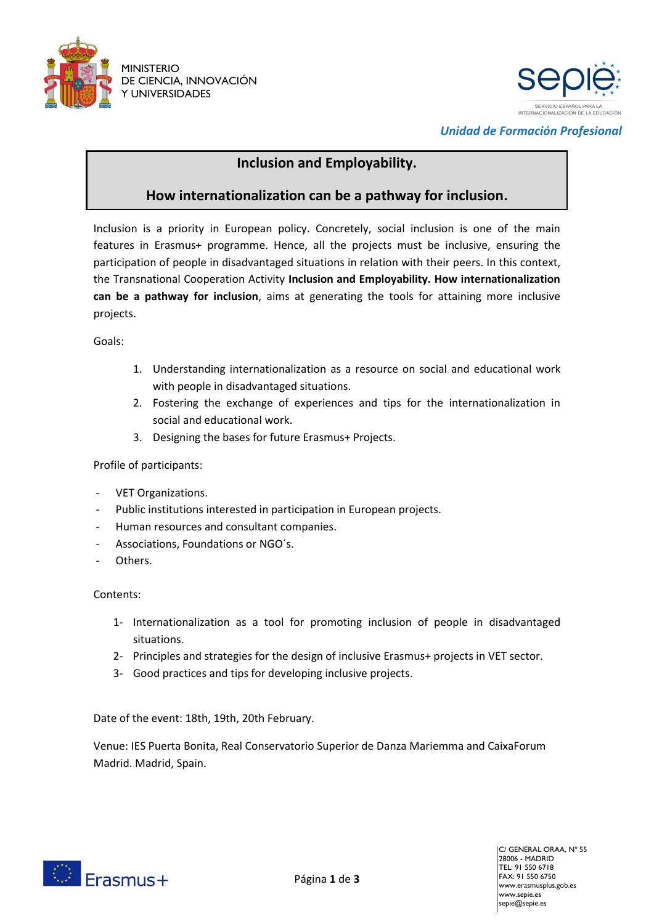



*Unidad de Formación Profesional*

## **Inclusion and Employability.**

## **How internationalization can be a pathway for inclusion.**

Inclusion is a priority in European policy. Concretely, social inclusion is one of the main features in Erasmus+ programme. Hence, all the projects must be inclusive, ensuring the participation of people in disadvantaged situations in relation with their peers. In this context, the Transnational Cooperation Activity **Inclusion and Employability. How internationalization can be a pathway for inclusion**, aims at generating the tools for attaining more inclusive projects.

Goals:

- 1. Understanding internationalization as a resource on social and educational work with people in disadvantaged situations.
- 2. Fostering the exchange of experiences and tips for the internationalization in social and educational work.
- 3. Designing the bases for future Erasmus+ Projects.

## Profile of participants:

- VET Organizations.
- Public institutions interested in participation in European projects.
- Human resources and consultant companies.
- Associations, Foundations or NGO's.
- Others.

## Contents:

- 1- Internationalization as a tool for promoting inclusion of people in disadvantaged situations.
- 2- Principles and strategies for the design of inclusive Erasmus+ projects in VET sector.
- 3- Good practices and tips for developing inclusive projects.

Date of the event: 18th, 19th, 20th February.

Venue: IES Puerta Bonita, Real Conservatorio Superior de Danza Mariemma and CaixaForum Madrid. Madrid, Spain.

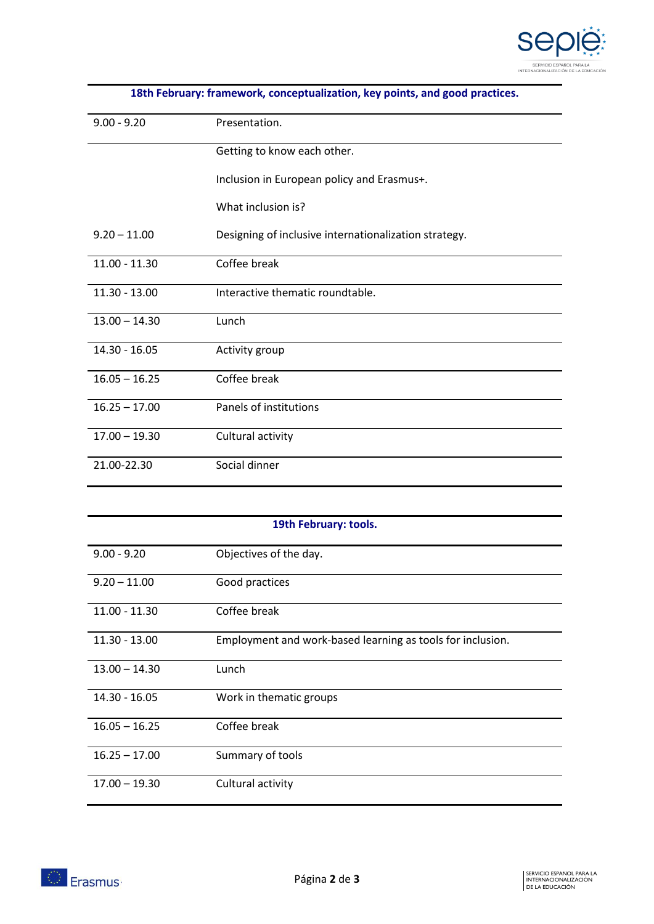

| $9.00 - 9.20$   | Presentation.                                         |
|-----------------|-------------------------------------------------------|
|                 | Getting to know each other.                           |
|                 | Inclusion in European policy and Erasmus+.            |
|                 | What inclusion is?                                    |
| $9.20 - 11.00$  | Designing of inclusive internationalization strategy. |
| $11.00 - 11.30$ | Coffee break                                          |
| 11.30 - 13.00   | Interactive thematic roundtable.                      |
| $13.00 - 14.30$ | Lunch                                                 |
| 14.30 - 16.05   | Activity group                                        |
| $16.05 - 16.25$ | Coffee break                                          |
| $16.25 - 17.00$ | Panels of institutions                                |
| $17.00 - 19.30$ | Cultural activity                                     |
| 21.00-22.30     | Social dinner                                         |

| 19th February: tools. |                                                            |  |
|-----------------------|------------------------------------------------------------|--|
| $9.00 - 9.20$         | Objectives of the day.                                     |  |
| $9.20 - 11.00$        | Good practices                                             |  |
| $11.00 - 11.30$       | Coffee break                                               |  |
| $11.30 - 13.00$       | Employment and work-based learning as tools for inclusion. |  |
| $13.00 - 14.30$       | Lunch                                                      |  |
| $14.30 - 16.05$       | Work in thematic groups                                    |  |
| $16.05 - 16.25$       | Coffee break                                               |  |
| $16.25 - 17.00$       | Summary of tools                                           |  |
| $17.00 - 19.30$       | Cultural activity                                          |  |

**18th February: framework, conceptualization, key points, and good practices.**